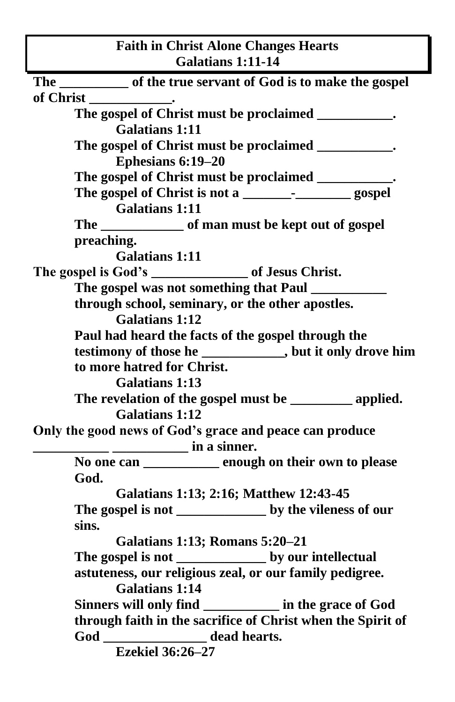| <b>Faith in Christ Alone Changes Hearts</b><br><b>Galatians 1:11-14</b>                                                                          |  |
|--------------------------------------------------------------------------------------------------------------------------------------------------|--|
| The ____________ of the true servant of God is to make the gospel                                                                                |  |
|                                                                                                                                                  |  |
| The gospel of Christ must be proclaimed __________.                                                                                              |  |
| <b>Galatians 1:11</b>                                                                                                                            |  |
| The gospel of Christ must be proclaimed __________.                                                                                              |  |
| Ephesians 6:19-20                                                                                                                                |  |
| The gospel of Christ must be proclaimed __________.                                                                                              |  |
|                                                                                                                                                  |  |
| <b>Galatians 1:11</b>                                                                                                                            |  |
| The _______________ of man must be kept out of gospel                                                                                            |  |
| preaching.                                                                                                                                       |  |
| <b>Galatians 1:11</b>                                                                                                                            |  |
| The gospel is God's ___________________ of Jesus Christ.                                                                                         |  |
|                                                                                                                                                  |  |
| through school, seminary, or the other apostles.                                                                                                 |  |
| <b>Galatians 1:12</b>                                                                                                                            |  |
| Paul had heard the facts of the gospel through the                                                                                               |  |
| testimony of those he ___________, but it only drove him                                                                                         |  |
| to more hatred for Christ.                                                                                                                       |  |
| <b>Galatians 1:13</b>                                                                                                                            |  |
| The revelation of the gospel must be ____________ applied.                                                                                       |  |
| <b>Galatians 1:12</b>                                                                                                                            |  |
| Only the good news of God's grace and peace can produce<br>$\frac{1}{\sqrt{1-\frac{1}{2}}}\frac{1}{\sqrt{1-\frac{1}{2}}}\sin \alpha \sin \alpha$ |  |
| No one can _________ enough on their own to please                                                                                               |  |
| God.                                                                                                                                             |  |
| Galatians 1:13; 2:16; Matthew 12:43-45                                                                                                           |  |
| The gospel is not _________________ by the vileness of our                                                                                       |  |
| sins.                                                                                                                                            |  |
| <b>Galatians 1:13; Romans 5:20-21</b>                                                                                                            |  |
|                                                                                                                                                  |  |
| astuteness, our religious zeal, or our family pedigree.                                                                                          |  |
| <b>Galatians 1:14</b>                                                                                                                            |  |
| Sinners will only find __________ in the grace of God                                                                                            |  |
| through faith in the sacrifice of Christ when the Spirit of                                                                                      |  |
| God ___________________ dead hearts.                                                                                                             |  |
| <b>Ezekiel 36:26-27</b>                                                                                                                          |  |

 $\overline{\phantom{a}}$